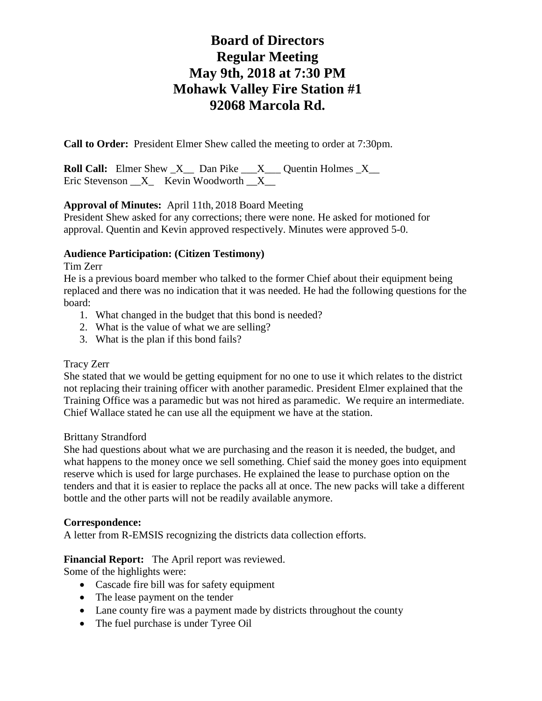# **Board of Directors Regular Meeting May 9th, 2018 at 7:30 PM Mohawk Valley Fire Station #1 92068 Marcola Rd.**

**Call to Order:** President Elmer Shew called the meeting to order at 7:30pm.

**Roll Call:** Elmer Shew  $X$  Dan Pike  $X$  Quentin Holmes  $X$ Eric Stevenson  $X$  Kevin Woodworth  $X$ 

## **Approval of Minutes:** April 11th, 2018 Board Meeting

President Shew asked for any corrections; there were none. He asked for motioned for approval. Quentin and Kevin approved respectively. Minutes were approved 5-0.

## **Audience Participation: (Citizen Testimony)**

Tim Zerr

He is a previous board member who talked to the former Chief about their equipment being replaced and there was no indication that it was needed. He had the following questions for the board:

- 1. What changed in the budget that this bond is needed?
- 2. What is the value of what we are selling?
- 3. What is the plan if this bond fails?

## Tracy Zerr

She stated that we would be getting equipment for no one to use it which relates to the district not replacing their training officer with another paramedic. President Elmer explained that the Training Office was a paramedic but was not hired as paramedic. We require an intermediate. Chief Wallace stated he can use all the equipment we have at the station.

## Brittany Strandford

She had questions about what we are purchasing and the reason it is needed, the budget, and what happens to the money once we sell something. Chief said the money goes into equipment reserve which is used for large purchases. He explained the lease to purchase option on the tenders and that it is easier to replace the packs all at once. The new packs will take a different bottle and the other parts will not be readily available anymore.

## **Correspondence:**

A letter from R-EMSIS recognizing the districts data collection efforts.

## **Financial Report:** The April report was reviewed.

Some of the highlights were:

- Cascade fire bill was for safety equipment
- The lease payment on the tender
- Lane county fire was a payment made by districts throughout the county
- The fuel purchase is under Tyree Oil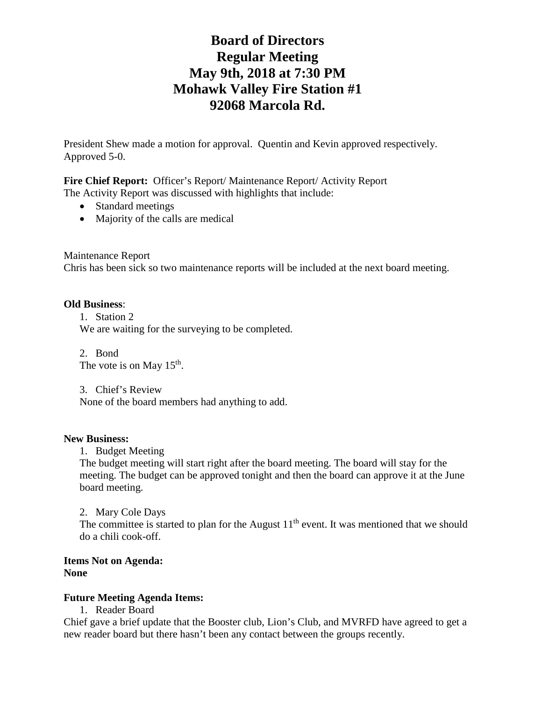# **Board of Directors Regular Meeting May 9th, 2018 at 7:30 PM Mohawk Valley Fire Station #1 92068 Marcola Rd.**

President Shew made a motion for approval. Quentin and Kevin approved respectively. Approved 5-0.

Fire Chief Report: Officer's Report/ Maintenance Report/ Activity Report The Activity Report was discussed with highlights that include:

- Standard meetings
- Majority of the calls are medical

Maintenance Report

Chris has been sick so two maintenance reports will be included at the next board meeting.

#### **Old Business**:

1. Station 2 We are waiting for the surveying to be completed.

2. Bond The vote is on May  $15<sup>th</sup>$ .

3. Chief's Review

None of the board members had anything to add.

#### **New Business:**

1. Budget Meeting

The budget meeting will start right after the board meeting. The board will stay for the meeting. The budget can be approved tonight and then the board can approve it at the June board meeting.

2. Mary Cole Days The committee is started to plan for the August  $11<sup>th</sup>$  event. It was mentioned that we should do a chili cook-off.

### **Items Not on Agenda: None**

### **Future Meeting Agenda Items:**

1. Reader Board

Chief gave a brief update that the Booster club, Lion's Club, and MVRFD have agreed to get a new reader board but there hasn't been any contact between the groups recently.